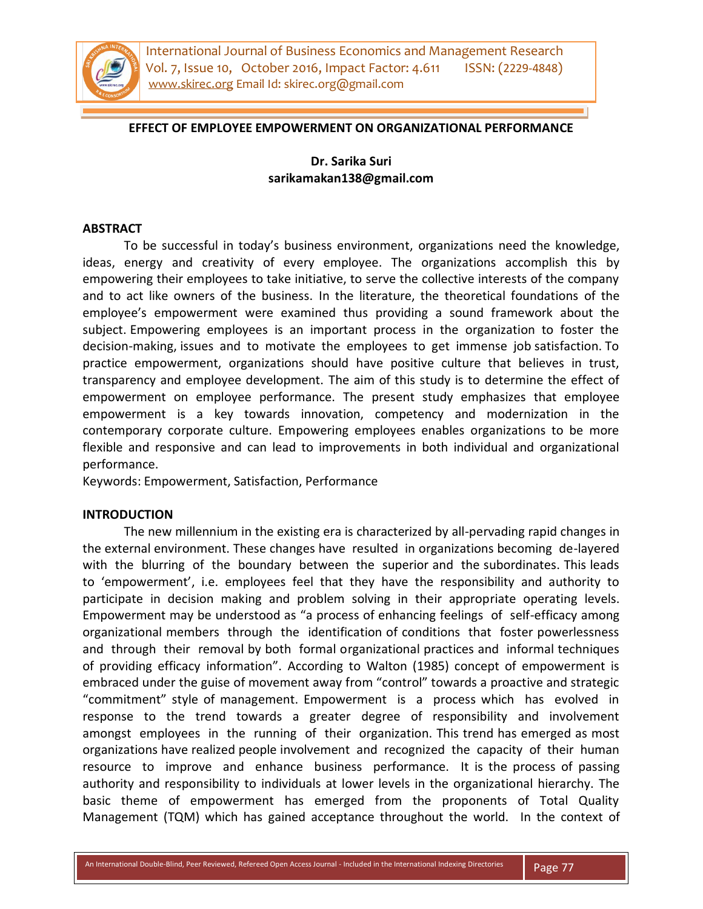

#### **EFFECT OF EMPLOYEE EMPOWERMENT ON ORGANIZATIONAL PERFORMANCE**

# **Dr. Sarika Suri sarikamakan138@gmail.com**

#### **ABSTRACT**

To be successful in today's business environment, organizations need the knowledge, ideas, energy and creativity of every employee. The organizations accomplish this by empowering their employees to take initiative, to serve the collective interests of the company and to act like owners of the business. In the literature, the theoretical foundations of the employee's empowerment were examined thus providing a sound framework about the subject. Empowering employees is an important process in the organization to foster the decision-making, issues and to motivate the employees to get immense job satisfaction. To practice empowerment, organizations should have positive culture that believes in trust, transparency and employee development. The aim of this study is to determine the effect of empowerment on employee performance. The present study emphasizes that employee empowerment is a key towards innovation, competency and modernization in the contemporary corporate culture. Empowering employees enables organizations to be more flexible and responsive and can lead to improvements in both individual and organizational performance.

Keywords: Empowerment, Satisfaction, Performance

#### **INTRODUCTION**

The new millennium in the existing era is characterized by all-pervading rapid changes in the external environment. These changes have resulted in organizations becoming de-layered with the blurring of the boundary between the superior and the subordinates. This leads to 'empowerment', i.e. employees feel that they have the responsibility and authority to participate in decision making and problem solving in their appropriate operating levels. Empowerment may be understood as "a process of enhancing feelings of self-efficacy among organizational members through the identification of conditions that foster powerlessness and through their removal by both formal organizational practices and informal techniques of providing efficacy information". According to Walton (1985) concept of empowerment is embraced under the guise of movement away from "control" towards a proactive and strategic "commitment" style of management. Empowerment is a process which has evolved in response to the trend towards a greater degree of responsibility and involvement amongst employees in the running of their organization. This trend has emerged as most organizations have realized people involvement and recognized the capacity of their human resource to improve and enhance business performance. It is the process of passing authority and responsibility to individuals at lower levels in the organizational hierarchy. The basic theme of empowerment has emerged from the proponents of Total Quality Management (TQM) which has gained acceptance throughout the world. In the context of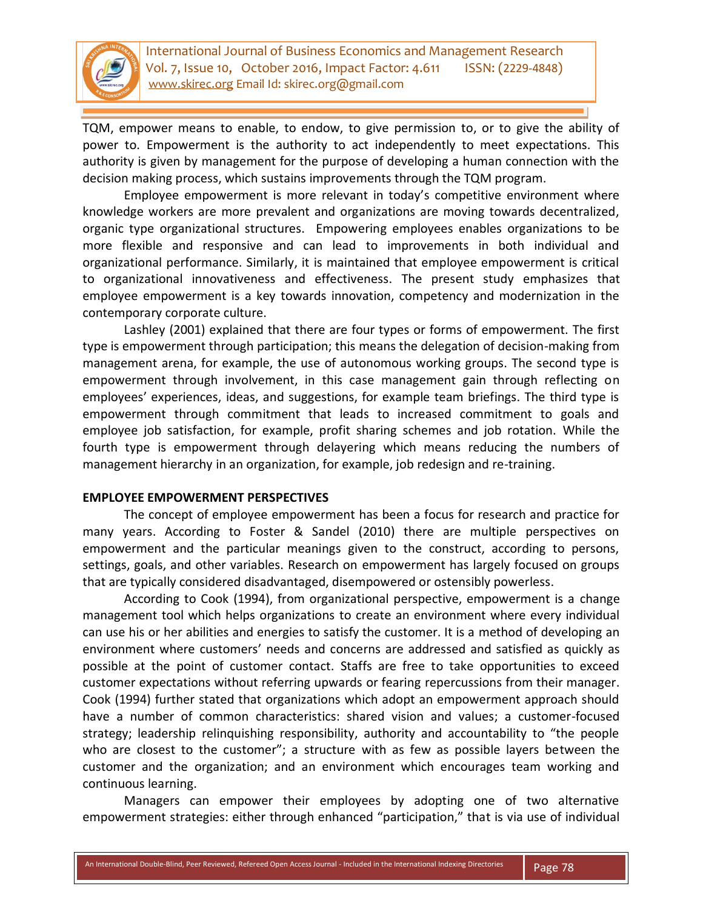

TQM, empower means to enable, to endow, to give permission to, or to give the ability of power to. Empowerment is the authority to act independently to meet expectations. This authority is given by management for the purpose of developing a human connection with the decision making process, which sustains improvements through the TQM program.

Employee empowerment is more relevant in today's competitive environment where knowledge workers are more prevalent and organizations are moving towards decentralized, organic type organizational structures. Empowering employees enables organizations to be more flexible and responsive and can lead to improvements in both individual and organizational performance. Similarly, it is maintained that employee empowerment is critical to organizational innovativeness and effectiveness. The present study emphasizes that employee empowerment is a key towards innovation, competency and modernization in the contemporary corporate culture.

Lashley (2001) explained that there are four types or forms of empowerment. The first type is empowerment through participation; this means the delegation of decision-making from management arena, for example, the use of autonomous working groups. The second type is empowerment through involvement, in this case management gain through reflecting on employees' experiences, ideas, and suggestions, for example team briefings. The third type is empowerment through commitment that leads to increased commitment to goals and employee job satisfaction, for example, profit sharing schemes and job rotation. While the fourth type is empowerment through delayering which means reducing the numbers of management hierarchy in an organization, for example, job redesign and re-training.

### **EMPLOYEE EMPOWERMENT PERSPECTIVES**

The concept of employee empowerment has been a focus for research and practice for many years. According to Foster & Sandel (2010) there are multiple perspectives on empowerment and the particular meanings given to the construct, according to persons, settings, goals, and other variables. Research on empowerment has largely focused on groups that are typically considered disadvantaged, disempowered or ostensibly powerless.

According to Cook (1994), from organizational perspective, empowerment is a change management tool which helps organizations to create an environment where every individual can use his or her abilities and energies to satisfy the customer. It is a method of developing an environment where customers' needs and concerns are addressed and satisfied as quickly as possible at the point of customer contact. Staffs are free to take opportunities to exceed customer expectations without referring upwards or fearing repercussions from their manager. Cook (1994) further stated that organizations which adopt an empowerment approach should have a number of common characteristics: shared vision and values; a customer-focused strategy; leadership relinquishing responsibility, authority and accountability to "the people who are closest to the customer"; a structure with as few as possible layers between the customer and the organization; and an environment which encourages team working and continuous learning.

Managers can empower their employees by adopting one of two alternative empowerment strategies: either through enhanced "participation," that is via use of individual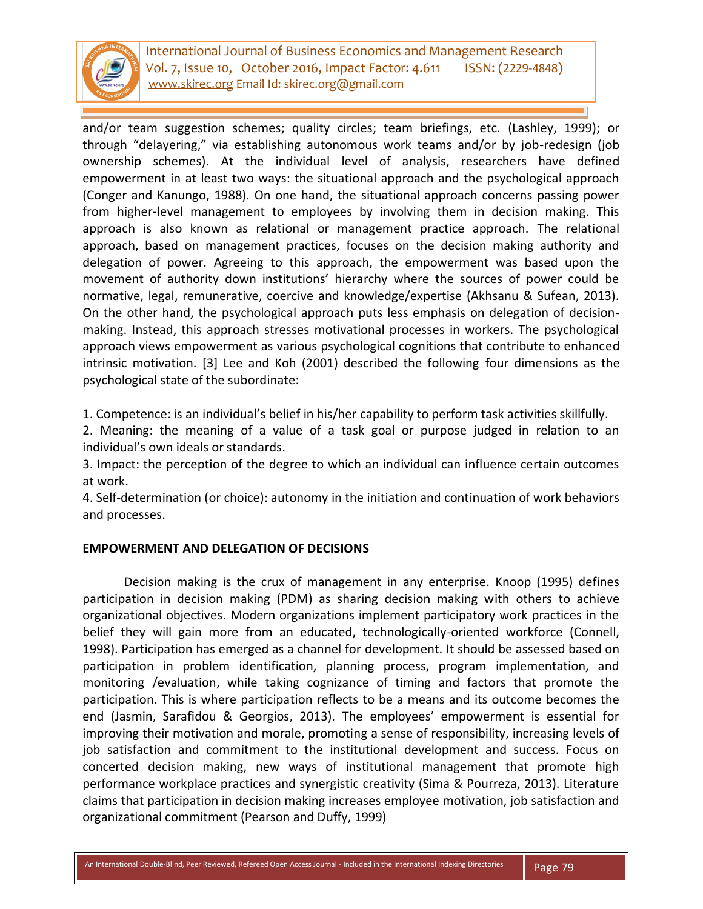

and/or team suggestion schemes; quality circles; team briefings, etc. (Lashley, 1999); or through "delayering," via establishing autonomous work teams and/or by job-redesign (job ownership schemes). At the individual level of analysis, researchers have defined empowerment in at least two ways: the situational approach and the psychological approach (Conger and Kanungo, 1988). On one hand, the situational approach concerns passing power from higher-level management to employees by involving them in decision making. This approach is also known as relational or management practice approach. The relational approach, based on management practices, focuses on the decision making authority and delegation of power. Agreeing to this approach, the empowerment was based upon the movement of authority down institutions' hierarchy where the sources of power could be normative, legal, remunerative, coercive and knowledge/expertise (Akhsanu & Sufean, 2013). On the other hand, the psychological approach puts less emphasis on delegation of decisionmaking. Instead, this approach stresses motivational processes in workers. The psychological approach views empowerment as various psychological cognitions that contribute to enhanced intrinsic motivation. [3] Lee and Koh (2001) described the following four dimensions as the psychological state of the subordinate:

1. Competence: is an individual's belief in his/her capability to perform task activities skillfully.

2. Meaning: the meaning of a value of a task goal or purpose judged in relation to an individual's own ideals or standards.

3. Impact: the perception of the degree to which an individual can influence certain outcomes at work.

4. Self-determination (or choice): autonomy in the initiation and continuation of work behaviors and processes.

# **EMPOWERMENT AND DELEGATION OF DECISIONS**

Decision making is the crux of management in any enterprise. Knoop (1995) defines participation in decision making (PDM) as sharing decision making with others to achieve organizational objectives. Modern organizations implement participatory work practices in the belief they will gain more from an educated, technologically-oriented workforce (Connell, 1998). Participation has emerged as a channel for development. It should be assessed based on participation in problem identification, planning process, program implementation, and monitoring /evaluation, while taking cognizance of timing and factors that promote the participation. This is where participation reflects to be a means and its outcome becomes the end (Jasmin, Sarafidou & Georgios, 2013). The employees' empowerment is essential for improving their motivation and morale, promoting a sense of responsibility, increasing levels of job satisfaction and commitment to the institutional development and success. Focus on concerted decision making, new ways of institutional management that promote high performance workplace practices and synergistic creativity (Sima & Pourreza, 2013). Literature claims that participation in decision making increases employee motivation, job satisfaction and organizational commitment (Pearson and Duffy, 1999)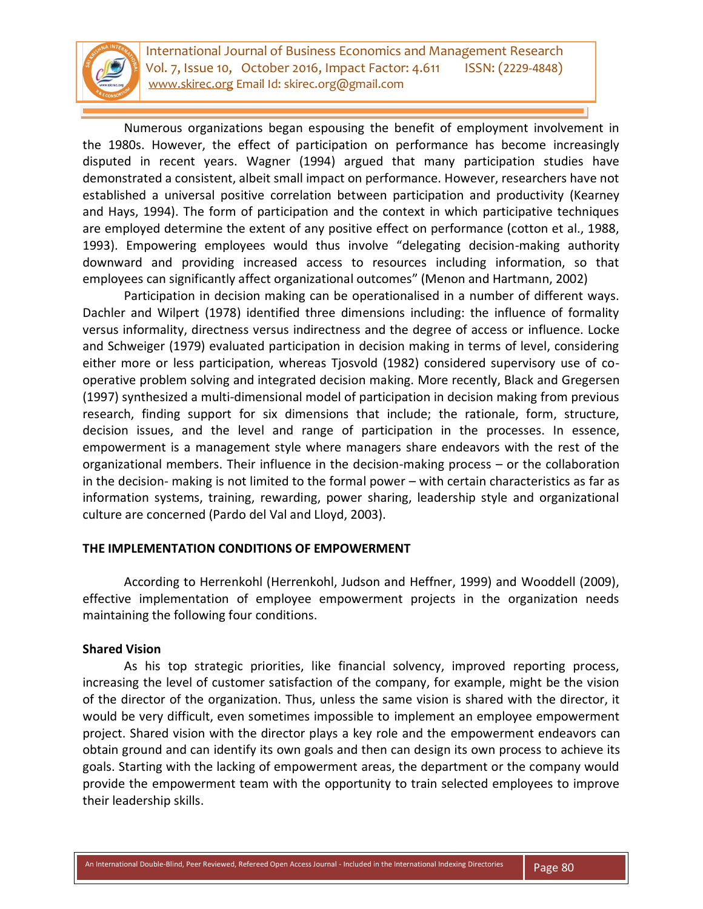

Numerous organizations began espousing the benefit of employment involvement in the 1980s. However, the effect of participation on performance has become increasingly disputed in recent years. Wagner (1994) argued that many participation studies have demonstrated a consistent, albeit small impact on performance. However, researchers have not established a universal positive correlation between participation and productivity (Kearney and Hays, 1994). The form of participation and the context in which participative techniques are employed determine the extent of any positive effect on performance (cotton et al., 1988, 1993). Empowering employees would thus involve "delegating decision-making authority downward and providing increased access to resources including information, so that employees can significantly affect organizational outcomes" (Menon and Hartmann, 2002)

Participation in decision making can be operationalised in a number of different ways. Dachler and Wilpert (1978) identified three dimensions including: the influence of formality versus informality, directness versus indirectness and the degree of access or influence. Locke and Schweiger (1979) evaluated participation in decision making in terms of level, considering either more or less participation, whereas Tjosvold (1982) considered supervisory use of cooperative problem solving and integrated decision making. More recently, Black and Gregersen (1997) synthesized a multi-dimensional model of participation in decision making from previous research, finding support for six dimensions that include; the rationale, form, structure, decision issues, and the level and range of participation in the processes. In essence, empowerment is a management style where managers share endeavors with the rest of the organizational members. Their influence in the decision-making process – or the collaboration in the decision- making is not limited to the formal power – with certain characteristics as far as information systems, training, rewarding, power sharing, leadership style and organizational culture are concerned (Pardo del Val and Lloyd, 2003).

#### **THE IMPLEMENTATION CONDITIONS OF EMPOWERMENT**

According to Herrenkohl (Herrenkohl, Judson and Heffner, 1999) and Wooddell (2009), effective implementation of employee empowerment projects in the organization needs maintaining the following four conditions.

#### **Shared Vision**

As his top strategic priorities, like financial solvency, improved reporting process, increasing the level of customer satisfaction of the company, for example, might be the vision of the director of the organization. Thus, unless the same vision is shared with the director, it would be very difficult, even sometimes impossible to implement an employee empowerment project. Shared vision with the director plays a key role and the empowerment endeavors can obtain ground and can identify its own goals and then can design its own process to achieve its goals. Starting with the lacking of empowerment areas, the department or the company would provide the empowerment team with the opportunity to train selected employees to improve their leadership skills.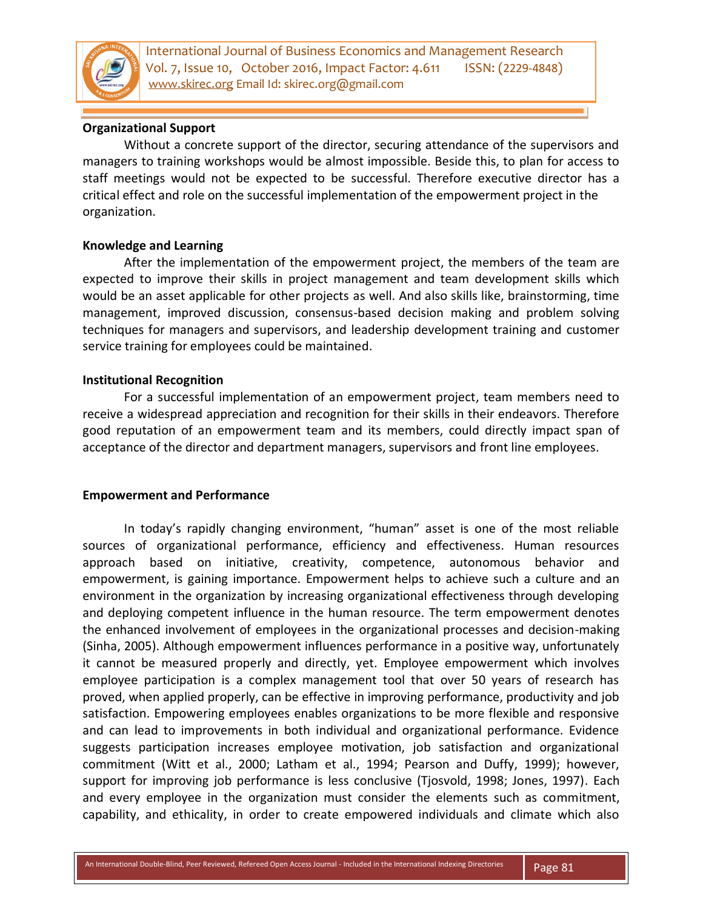

# **Organizational Support**

Without a concrete support of the director, securing attendance of the supervisors and managers to training workshops would be almost impossible. Beside this, to plan for access to staff meetings would not be expected to be successful. Therefore executive director has a critical effect and role on the successful implementation of the empowerment project in the organization.

# **Knowledge and Learning**

After the implementation of the empowerment project, the members of the team are expected to improve their skills in project management and team development skills which would be an asset applicable for other projects as well. And also skills like, brainstorming, time management, improved discussion, consensus-based decision making and problem solving techniques for managers and supervisors, and leadership development training and customer service training for employees could be maintained.

#### **Institutional Recognition**

For a successful implementation of an empowerment project, team members need to receive a widespread appreciation and recognition for their skills in their endeavors. Therefore good reputation of an empowerment team and its members, could directly impact span of acceptance of the director and department managers, supervisors and front line employees.

# **Empowerment and Performance**

In today's rapidly changing environment, "human" asset is one of the most reliable sources of organizational performance, efficiency and effectiveness. Human resources approach based on initiative, creativity, competence, autonomous behavior and empowerment, is gaining importance. Empowerment helps to achieve such a culture and an environment in the organization by increasing organizational effectiveness through developing and deploying competent influence in the human resource. The term empowerment denotes the enhanced involvement of employees in the organizational processes and decision-making (Sinha, 2005). Although empowerment influences performance in a positive way, unfortunately it cannot be measured properly and directly, yet. Employee empowerment which involves employee participation is a complex management tool that over 50 years of research has proved, when applied properly, can be effective in improving performance, productivity and job satisfaction. Empowering employees enables organizations to be more flexible and responsive and can lead to improvements in both individual and organizational performance. Evidence suggests participation increases employee motivation, job satisfaction and organizational commitment (Witt et al., 2000; Latham et al., 1994; Pearson and Duffy, 1999); however, support for improving job performance is less conclusive (Tjosvold, 1998; Jones, 1997). Each and every employee in the organization must consider the elements such as commitment, capability, and ethicality, in order to create empowered individuals and climate which also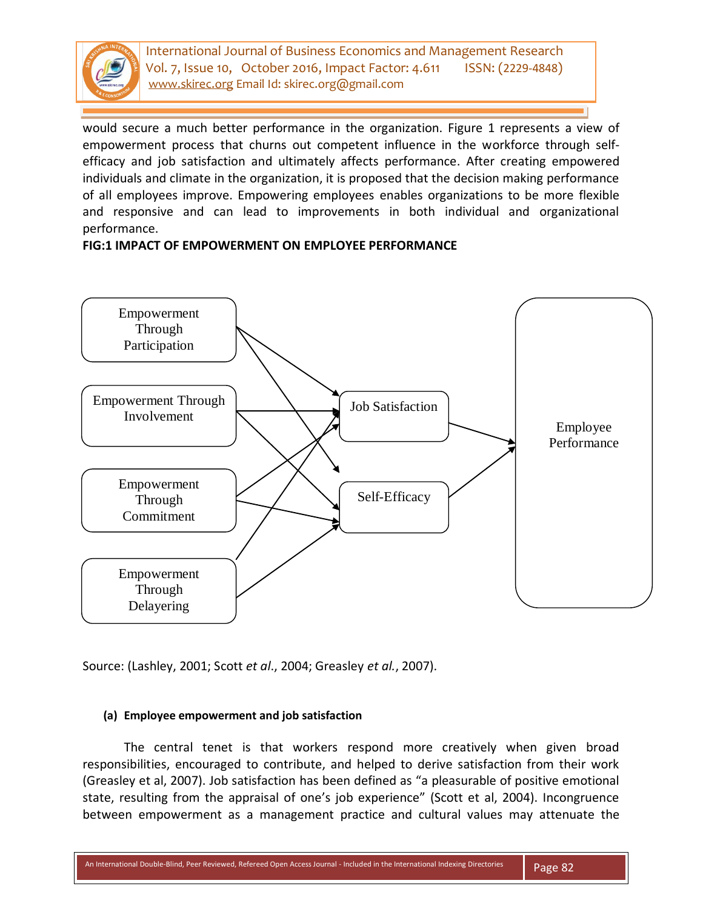

would secure a much better performance in the organization. Figure 1 represents a view of empowerment process that churns out competent influence in the workforce through selfefficacy and job satisfaction and ultimately affects performance. After creating empowered individuals and climate in the organization, it is proposed that the decision making performance of all employees improve. Empowering employees enables organizations to be more flexible and responsive and can lead to improvements in both individual and organizational performance.

#### **FIG:1 IMPACT OF EMPOWERMENT ON EMPLOYEE PERFORMANCE**



Source: (Lashley, 2001; Scott *et al*., 2004; Greasley *et al.*, 2007).

# **(a) Employee empowerment and job satisfaction**

The central tenet is that workers respond more creatively when given broad responsibilities, encouraged to contribute, and helped to derive satisfaction from their work (Greasley et al, 2007). Job satisfaction has been defined as "a pleasurable of positive emotional state, resulting from the appraisal of one's job experience" (Scott et al, 2004). Incongruence between empowerment as a management practice and cultural values may attenuate the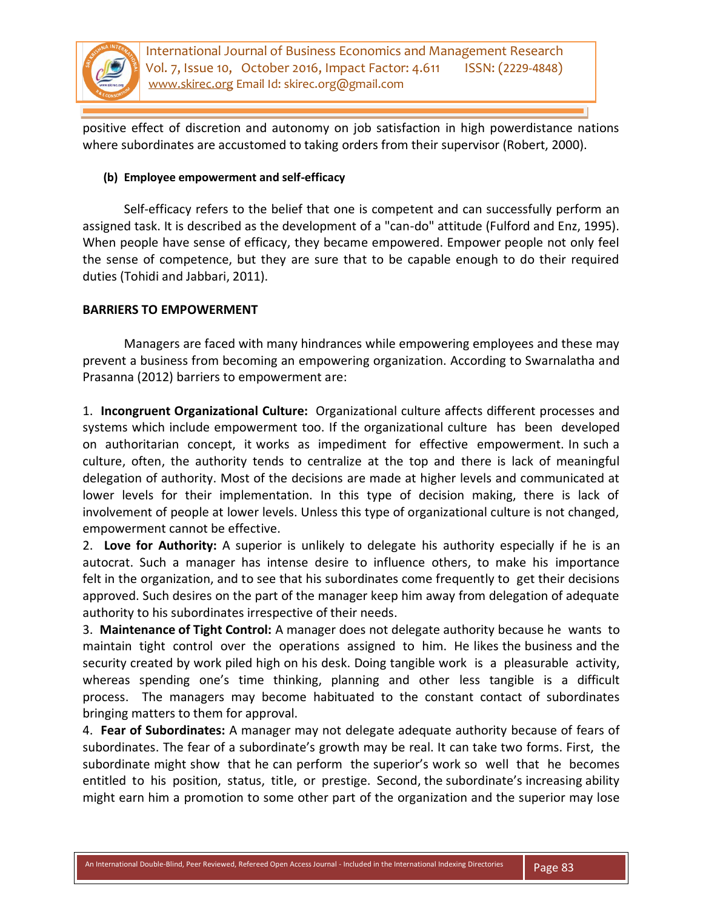

positive effect of discretion and autonomy on job satisfaction in high powerdistance nations where subordinates are accustomed to taking orders from their supervisor (Robert, 2000).

### **(b) Employee empowerment and self-efficacy**

Self-efficacy refers to the belief that one is competent and can successfully perform an assigned task. It is described as the development of a "can-do" attitude (Fulford and Enz, 1995). When people have sense of efficacy, they became empowered. Empower people not only feel the sense of competence, but they are sure that to be capable enough to do their required duties (Tohidi and Jabbari, 2011).

# **BARRIERS TO EMPOWERMENT**

Managers are faced with many hindrances while empowering employees and these may prevent a business from becoming an empowering organization. According to Swarnalatha and Prasanna (2012) barriers to empowerment are:

1. **Incongruent Organizational Culture:** Organizational culture affects different processes and systems which include empowerment too. If the organizational culture has been developed on authoritarian concept, it works as impediment for effective empowerment. In such a culture, often, the authority tends to centralize at the top and there is lack of meaningful delegation of authority. Most of the decisions are made at higher levels and communicated at lower levels for their implementation. In this type of decision making, there is lack of involvement of people at lower levels. Unless this type of organizational culture is not changed, empowerment cannot be effective.

2. **Love for Authority:** A superior is unlikely to delegate his authority especially if he is an autocrat. Such a manager has intense desire to influence others, to make his importance felt in the organization, and to see that his subordinates come frequently to get their decisions approved. Such desires on the part of the manager keep him away from delegation of adequate authority to his subordinates irrespective of their needs.

3. **Maintenance of Tight Control:** A manager does not delegate authority because he wants to maintain tight control over the operations assigned to him. He likes the business and the security created by work piled high on his desk. Doing tangible work is a pleasurable activity, whereas spending one's time thinking, planning and other less tangible is a difficult process. The managers may become habituated to the constant contact of subordinates bringing matters to them for approval.

4. **Fear of Subordinates:** A manager may not delegate adequate authority because of fears of subordinates. The fear of a subordinate's growth may be real. It can take two forms. First, the subordinate might show that he can perform the superior's work so well that he becomes entitled to his position, status, title, or prestige. Second, the subordinate's increasing ability might earn him a promotion to some other part of the organization and the superior may lose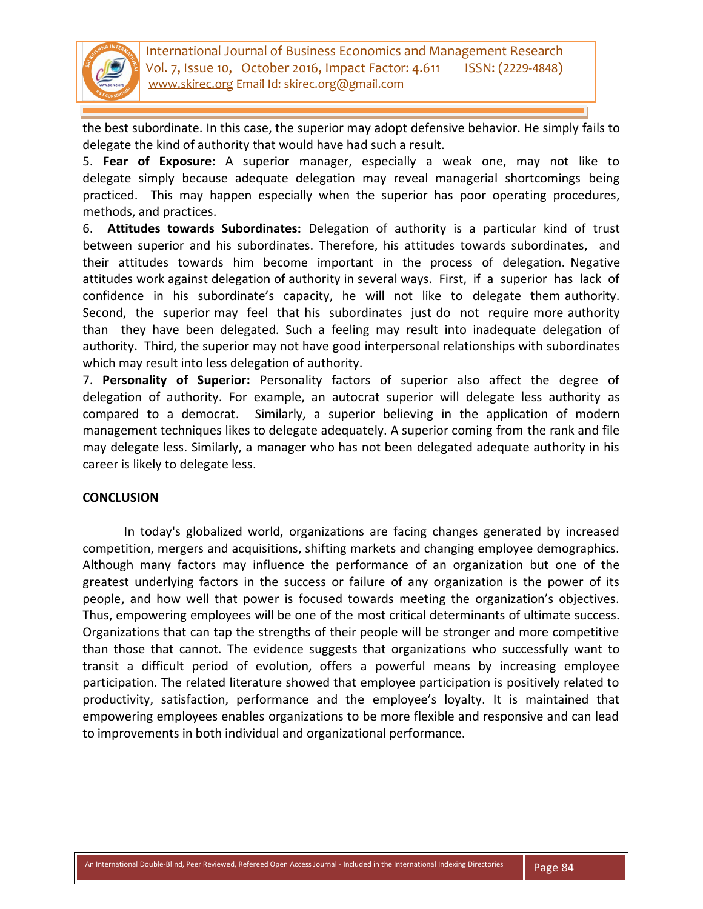

the best subordinate. In this case, the superior may adopt defensive behavior. He simply fails to delegate the kind of authority that would have had such a result.

5. **Fear of Exposure:** A superior manager, especially a weak one, may not like to delegate simply because adequate delegation may reveal managerial shortcomings being practiced. This may happen especially when the superior has poor operating procedures, methods, and practices.

6. **Attitudes towards Subordinates:** Delegation of authority is a particular kind of trust between superior and his subordinates. Therefore, his attitudes towards subordinates, and their attitudes towards him become important in the process of delegation. Negative attitudes work against delegation of authority in several ways. First, if a superior has lack of confidence in his subordinate's capacity, he will not like to delegate them authority. Second, the superior may feel that his subordinates just do not require more authority than they have been delegated. Such a feeling may result into inadequate delegation of authority. Third, the superior may not have good interpersonal relationships with subordinates which may result into less delegation of authority.

7. **Personality of Superior:** Personality factors of superior also affect the degree of delegation of authority. For example, an autocrat superior will delegate less authority as compared to a democrat. Similarly, a superior believing in the application of modern management techniques likes to delegate adequately. A superior coming from the rank and file may delegate less. Similarly, a manager who has not been delegated adequate authority in his career is likely to delegate less.

# **CONCLUSION**

In today's globalized world, organizations are facing changes generated by increased competition, mergers and acquisitions, shifting markets and changing employee demographics. Although many factors may influence the performance of an organization but one of the greatest underlying factors in the success or failure of any organization is the power of its people, and how well that power is focused towards meeting the organization's objectives. Thus, empowering employees will be one of the most critical determinants of ultimate success. Organizations that can tap the strengths of their people will be stronger and more competitive than those that cannot. The evidence suggests that organizations who successfully want to transit a difficult period of evolution, offers a powerful means by increasing employee participation. The related literature showed that employee participation is positively related to productivity, satisfaction, performance and the employee's loyalty. It is maintained that empowering employees enables organizations to be more flexible and responsive and can lead to improvements in both individual and organizational performance.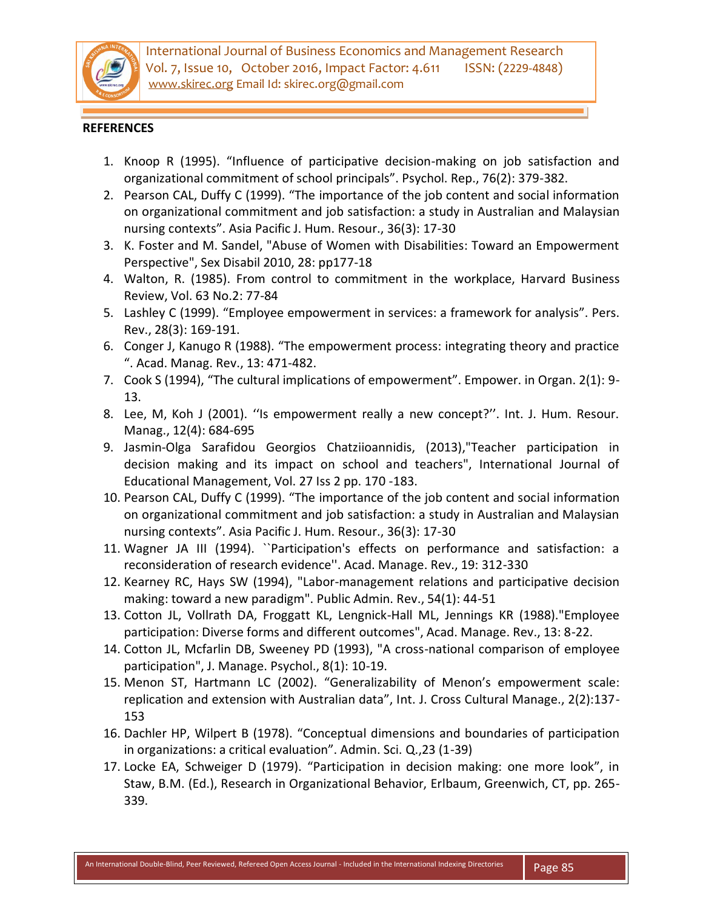

### **REFERENCES**

- 1. Knoop R (1995). "Influence of participative decision-making on job satisfaction and organizational commitment of school principals". Psychol. Rep., 76(2): 379-382.
- 2. Pearson CAL, Duffy C (1999). "The importance of the job content and social information on organizational commitment and job satisfaction: a study in Australian and Malaysian nursing contexts". Asia Pacific J. Hum. Resour., 36(3): 17-30
- 3. K. Foster and M. Sandel, "Abuse of Women with Disabilities: Toward an Empowerment Perspective", Sex Disabil 2010, 28: pp177-18
- 4. Walton, R. (1985). From control to commitment in the workplace, Harvard Business Review, Vol. 63 No.2: 77-84
- 5. Lashley C (1999). "Employee empowerment in services: a framework for analysis". Pers. Rev., 28(3): 169-191.
- 6. Conger J, Kanugo R (1988). "The empowerment process: integrating theory and practice ". Acad. Manag. Rev., 13: 471-482.
- 7. Cook S (1994), "The cultural implications of empowerment". Empower. in Organ. 2(1): 9- 13.
- 8. Lee, M, Koh J (2001). ''Is empowerment really a new concept?''. Int. J. Hum. Resour. Manag., 12(4): 684-695
- 9. Jasmin-Olga Sarafidou Georgios Chatziioannidis, (2013),"Teacher participation in decision making and its impact on school and teachers", International Journal of Educational Management, Vol. 27 Iss 2 pp. 170 -183.
- 10. Pearson CAL, Duffy C (1999). "The importance of the job content and social information on organizational commitment and job satisfaction: a study in Australian and Malaysian nursing contexts". Asia Pacific J. Hum. Resour., 36(3): 17-30
- 11. Wagner JA III (1994). ``Participation's effects on performance and satisfaction: a reconsideration of research evidence''. Acad. Manage. Rev., 19: 312-330
- 12. Kearney RC, Hays SW (1994), "Labor-management relations and participative decision making: toward a new paradigm". Public Admin. Rev., 54(1): 44-51
- 13. Cotton JL, Vollrath DA, Froggatt KL, Lengnick-Hall ML, Jennings KR (1988)."Employee participation: Diverse forms and different outcomes", Acad. Manage. Rev., 13: 8-22.
- 14. Cotton JL, Mcfarlin DB, Sweeney PD (1993), "A cross-national comparison of employee participation", J. Manage. Psychol., 8(1): 10-19.
- 15. Menon ST, Hartmann LC (2002). "Generalizability of Menon's empowerment scale: replication and extension with Australian data", Int. J. Cross Cultural Manage., 2(2):137- 153
- 16. Dachler HP, Wilpert B (1978). "Conceptual dimensions and boundaries of participation in organizations: a critical evaluation". Admin. Sci. Q.,23 (1-39)
- 17. Locke EA, Schweiger D (1979). "Participation in decision making: one more look", in Staw, B.M. (Ed.), Research in Organizational Behavior, Erlbaum, Greenwich, CT, pp. 265- 339.